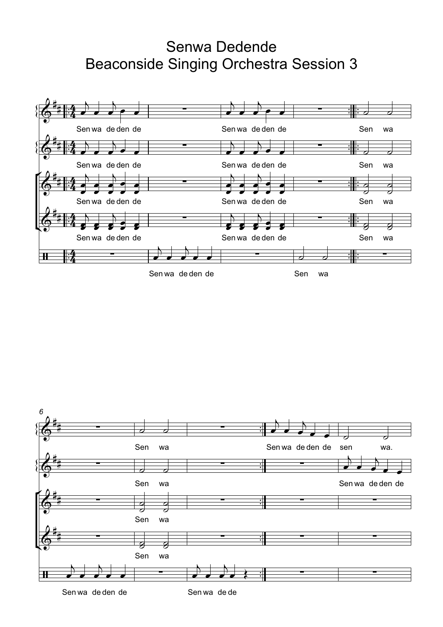## Senwa Dedende **Beaconside Singing Orchestra Session 3**





Sen wa de den de

Sen wa de de